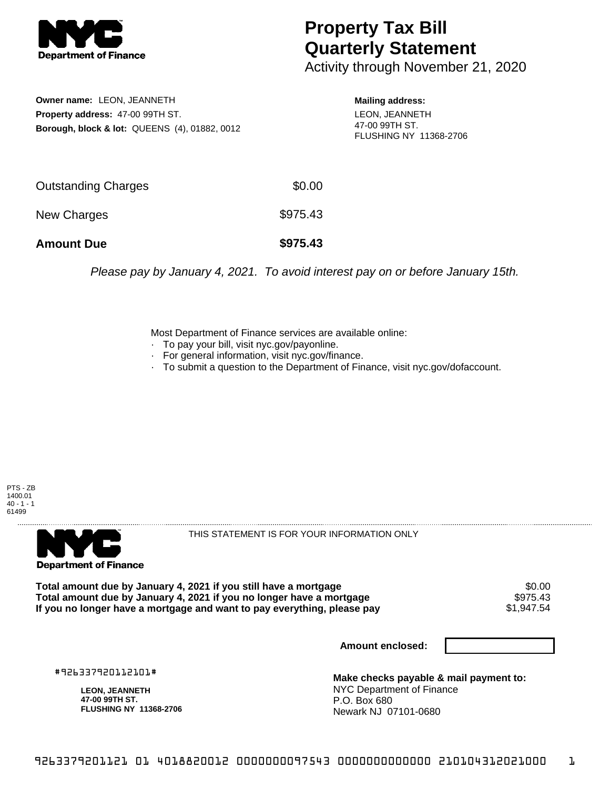

## **Property Tax Bill Quarterly Statement**

Activity through November 21, 2020

**Owner name:** LEON, JEANNETH **Property address:** 47-00 99TH ST. **Borough, block & lot:** QUEENS (4), 01882, 0012 **Mailing address:**

LEON, JEANNETH 47-00 99TH ST. FLUSHING NY 11368-2706

| <b>Amount Due</b>          | \$975.43 |
|----------------------------|----------|
| New Charges                | \$975.43 |
| <b>Outstanding Charges</b> | \$0.00   |

Please pay by January 4, 2021. To avoid interest pay on or before January 15th.

Most Department of Finance services are available online:

- · To pay your bill, visit nyc.gov/payonline.
- For general information, visit nyc.gov/finance.
- · To submit a question to the Department of Finance, visit nyc.gov/dofaccount.

PTS - ZB 1400.01  $40 - 1 - 1$ 61499



THIS STATEMENT IS FOR YOUR INFORMATION ONLY

Total amount due by January 4, 2021 if you still have a mortgage \$0.00<br>Total amount due by January 4, 2021 if you no longer have a mortgage \$975.43 **Total amount due by January 4, 2021 if you no longer have a mortgage \$975.43<br>If you no longer have a mortgage and want to pay everything, please pay \$1,947.54** If you no longer have a mortgage and want to pay everything, please pay

**Amount enclosed:**

#926337920112101#

**LEON, JEANNETH 47-00 99TH ST. FLUSHING NY 11368-2706**

**Make checks payable & mail payment to:** NYC Department of Finance P.O. Box 680 Newark NJ 07101-0680